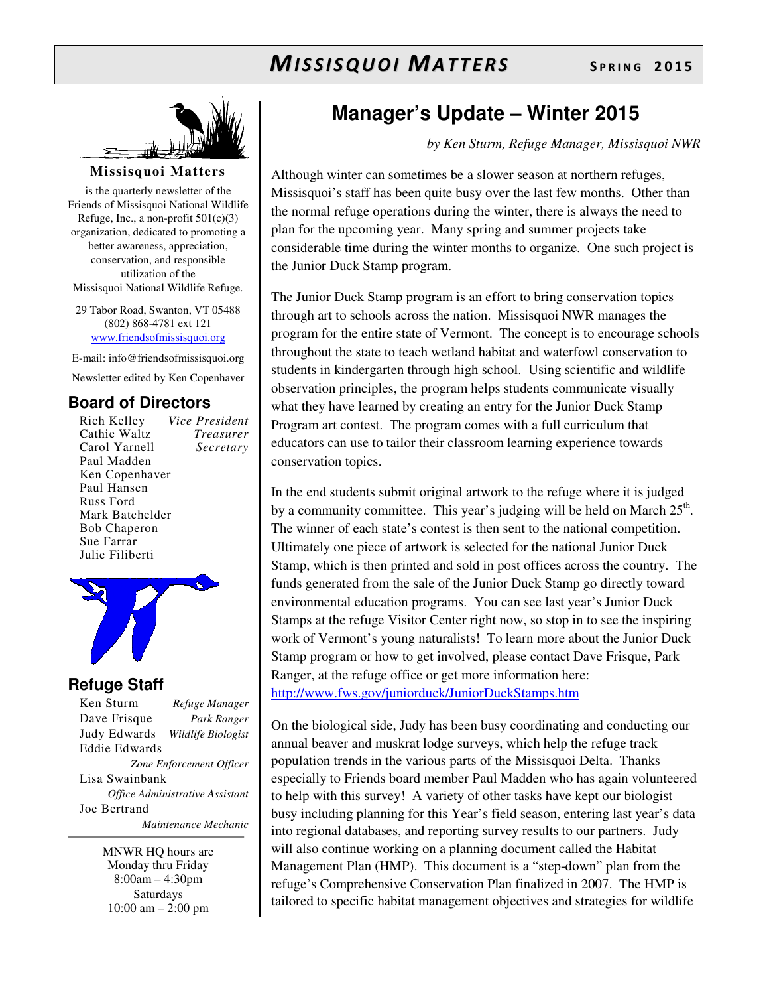

#### **Missisquoi Matters**

is the quarterly newsletter of the Friends of Missisquoi National Wildlife Refuge, Inc., a non-profit  $501(c)(3)$ organization, dedicated to promoting a better awareness, appreciation, conservation, and responsible utilization of the Missisquoi National Wildlife Refuge.

29 Tabor Road, Swanton, VT 05488 (802) 868-4781 ext 121 www.friendsofmissisquoi.org

E-mail: info@friendsofmissisquoi.org

Newsletter edited by Ken Copenhaver

### **Board of Directors**

Rich Kelley *Vice President* Cathie Waltz *Treasurer* Carol Yarnell Paul Madden Ken Copenhaver Paul Hansen Russ Ford Mark Batchelder Bob Chaperon Sue Farrar Julie Filiberti



### **Refuge Staff**

Ken Sturm *Refuge Manager* Dave Frisque *Park Ranger* Judy Edwards *Wildlife Biologist* Eddie Edwards *Zone Enforcement Officer* Lisa Swainbank *Office Administrative Assistant*  Joe Bertrand  *Maintenance Mechanic*

> MNWR HQ hours are Monday thru Friday 8:00am – 4:30pm Saturdays 10:00 am – 2:00 pm

### **Manager's Update – Winter 2015**

*by Ken Sturm, Refuge Manager, Missisquoi NWR*

Although winter can sometimes be a slower season at northern refuges, Missisquoi's staff has been quite busy over the last few months. Other than the normal refuge operations during the winter, there is always the need to plan for the upcoming year. Many spring and summer projects take considerable time during the winter months to organize. One such project is the Junior Duck Stamp program.

The Junior Duck Stamp program is an effort to bring conservation topics through art to schools across the nation. Missisquoi NWR manages the program for the entire state of Vermont. The concept is to encourage schools throughout the state to teach wetland habitat and waterfowl conservation to students in kindergarten through high school. Using scientific and wildlife observation principles, the program helps students communicate visually what they have learned by creating an entry for the Junior Duck Stamp Program art contest. The program comes with a full curriculum that educators can use to tailor their classroom learning experience towards conservation topics.

In the end students submit original artwork to the refuge where it is judged by a community committee. This year's judging will be held on March  $25<sup>th</sup>$ . The winner of each state's contest is then sent to the national competition. Ultimately one piece of artwork is selected for the national Junior Duck Stamp, which is then printed and sold in post offices across the country. The funds generated from the sale of the Junior Duck Stamp go directly toward environmental education programs. You can see last year's Junior Duck Stamps at the refuge Visitor Center right now, so stop in to see the inspiring work of Vermont's young naturalists! To learn more about the Junior Duck Stamp program or how to get involved, please contact Dave Frisque, Park Ranger, at the refuge office or get more information here: http://www.fws.gov/juniorduck/JuniorDuckStamps.htm

On the biological side, Judy has been busy coordinating and conducting our annual beaver and muskrat lodge surveys, which help the refuge track population trends in the various parts of the Missisquoi Delta. Thanks especially to Friends board member Paul Madden who has again volunteered to help with this survey! A variety of other tasks have kept our biologist busy including planning for this Year's field season, entering last year's data into regional databases, and reporting survey results to our partners. Judy will also continue working on a planning document called the Habitat Management Plan (HMP). This document is a "step-down" plan from the refuge's Comprehensive Conservation Plan finalized in 2007. The HMP is tailored to specific habitat management objectives and strategies for wildlife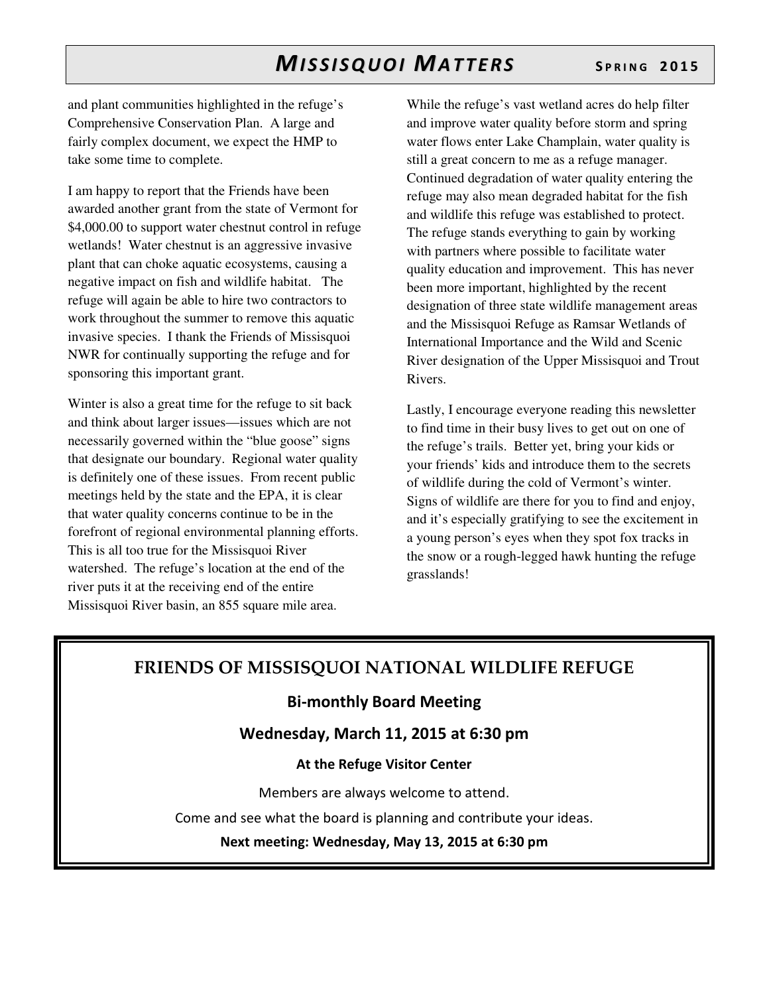and plant communities highlighted in the refuge's Comprehensive Conservation Plan. A large and fairly complex document, we expect the HMP to take some time to complete.

I am happy to report that the Friends have been awarded another grant from the state of Vermont for \$4,000.00 to support water chestnut control in refuge wetlands! Water chestnut is an aggressive invasive plant that can choke aquatic ecosystems, causing a negative impact on fish and wildlife habitat. The refuge will again be able to hire two contractors to work throughout the summer to remove this aquatic invasive species. I thank the Friends of Missisquoi NWR for continually supporting the refuge and for sponsoring this important grant.

Winter is also a great time for the refuge to sit back and think about larger issues—issues which are not necessarily governed within the "blue goose" signs that designate our boundary. Regional water quality is definitely one of these issues. From recent public meetings held by the state and the EPA, it is clear that water quality concerns continue to be in the forefront of regional environmental planning efforts. This is all too true for the Missisquoi River watershed. The refuge's location at the end of the river puts it at the receiving end of the entire Missisquoi River basin, an 855 square mile area.

While the refuge's vast wetland acres do help filter and improve water quality before storm and spring water flows enter Lake Champlain, water quality is still a great concern to me as a refuge manager. Continued degradation of water quality entering the refuge may also mean degraded habitat for the fish and wildlife this refuge was established to protect. The refuge stands everything to gain by working with partners where possible to facilitate water quality education and improvement. This has never been more important, highlighted by the recent designation of three state wildlife management areas and the Missisquoi Refuge as Ramsar Wetlands of International Importance and the Wild and Scenic River designation of the Upper Missisquoi and Trout Rivers.

Lastly, I encourage everyone reading this newsletter to find time in their busy lives to get out on one of the refuge's trails. Better yet, bring your kids or your friends' kids and introduce them to the secrets of wildlife during the cold of Vermont's winter. Signs of wildlife are there for you to find and enjoy, and it's especially gratifying to see the excitement in a young person's eyes when they spot fox tracks in the snow or a rough-legged hawk hunting the refuge grasslands!

### **FRIENDS OF MISSISQUOI NATIONAL WILDLIFE REFUGE**

### **Bi-monthly Board Meeting**

**Wednesday, March 11, 2015 at 6:30 pm** 

#### **At the Refuge Visitor Center**

Members are always welcome to attend.

Come and see what the board is planning and contribute your ideas.

**Next meeting: Wednesday, May 13, 2015 at 6:30 pm**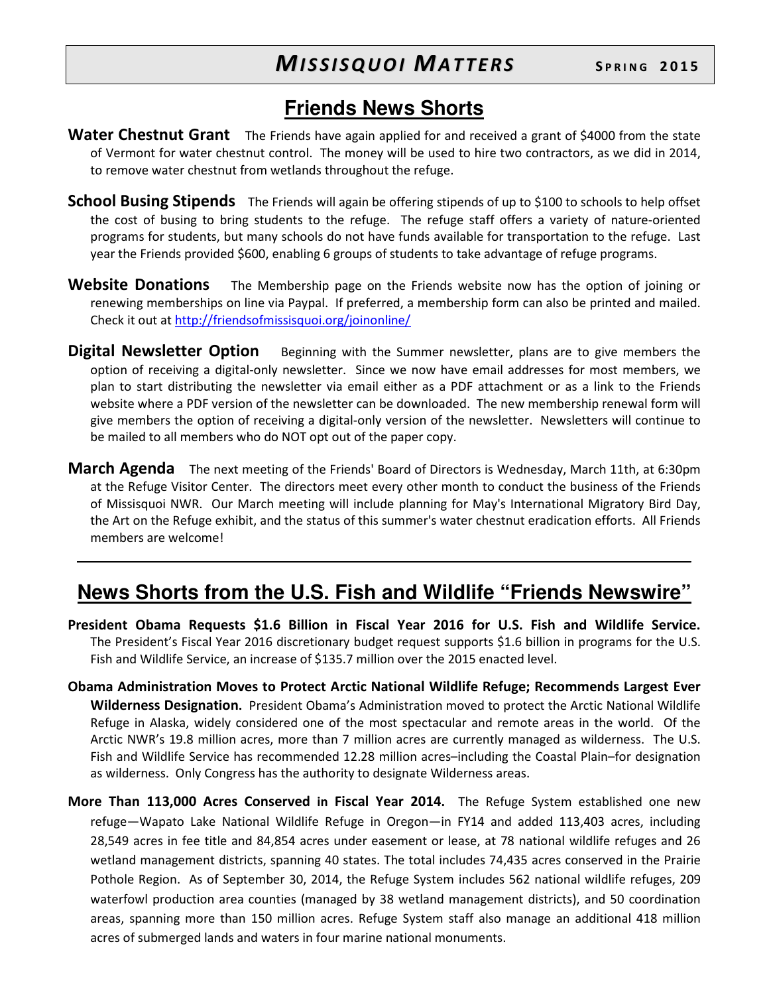### **Friends News Shorts**

- **Water Chestnut Grant** The Friends have again applied for and received a grant of \$4000 from the state of Vermont for water chestnut control. The money will be used to hire two contractors, as we did in 2014, to remove water chestnut from wetlands throughout the refuge.
- **School Busing Stipends** The Friends will again be offering stipends of up to \$100 to schools to help offset the cost of busing to bring students to the refuge. The refuge staff offers a variety of nature-oriented programs for students, but many schools do not have funds available for transportation to the refuge. Last year the Friends provided \$600, enabling 6 groups of students to take advantage of refuge programs.
- **Website Donations** The Membership page on the Friends website now has the option of joining or renewing memberships on line via Paypal. If preferred, a membership form can also be printed and mailed. Check it out at http://friendsofmissisquoi.org/joinonline/
- **Digital Newsletter Option** Beginning with the Summer newsletter, plans are to give members the option of receiving a digital-only newsletter. Since we now have email addresses for most members, we plan to start distributing the newsletter via email either as a PDF attachment or as a link to the Friends website where a PDF version of the newsletter can be downloaded. The new membership renewal form will give members the option of receiving a digital-only version of the newsletter. Newsletters will continue to be mailed to all members who do NOT opt out of the paper copy.
- **March Agenda** The next meeting of the Friends' Board of Directors is Wednesday, March 11th, at 6:30pm at the Refuge Visitor Center. The directors meet every other month to conduct the business of the Friends of Missisquoi NWR. Our March meeting will include planning for May's International Migratory Bird Day, the Art on the Refuge exhibit, and the status of this summer's water chestnut eradication efforts. All Friends members are welcome!

### **News Shorts from the U.S. Fish and Wildlife "Friends Newswire"**

- **President Obama Requests \$1.6 Billion in Fiscal Year 2016 for U.S. Fish and Wildlife Service.**  The President's Fiscal Year 2016 discretionary budget request supports \$1.6 billion in programs for the U.S. Fish and Wildlife Service, an increase of \$135.7 million over the 2015 enacted level.
- **Obama Administration Moves to Protect Arctic National Wildlife Refuge; Recommends Largest Ever Wilderness Designation.** President Obama's Administration moved to protect the Arctic National Wildlife Refuge in Alaska, widely considered one of the most spectacular and remote areas in the world. Of the Arctic NWR's 19.8 million acres, more than 7 million acres are currently managed as wilderness. The U.S. Fish and Wildlife Service has recommended 12.28 million acres–including the Coastal Plain–for designation as wilderness. Only Congress has the authority to designate Wilderness areas.
- **More Than 113,000 Acres Conserved in Fiscal Year 2014.** The Refuge System established one new refuge—Wapato Lake National Wildlife Refuge in Oregon—in FY14 and added 113,403 acres, including 28,549 acres in fee title and 84,854 acres under easement or lease, at 78 national wildlife refuges and 26 wetland management districts, spanning 40 states. The total includes 74,435 acres conserved in the Prairie Pothole Region. As of September 30, 2014, the Refuge System includes 562 national wildlife refuges, 209 waterfowl production area counties (managed by 38 wetland management districts), and 50 coordination areas, spanning more than 150 million acres. Refuge System staff also manage an additional 418 million acres of submerged lands and waters in four marine national monuments.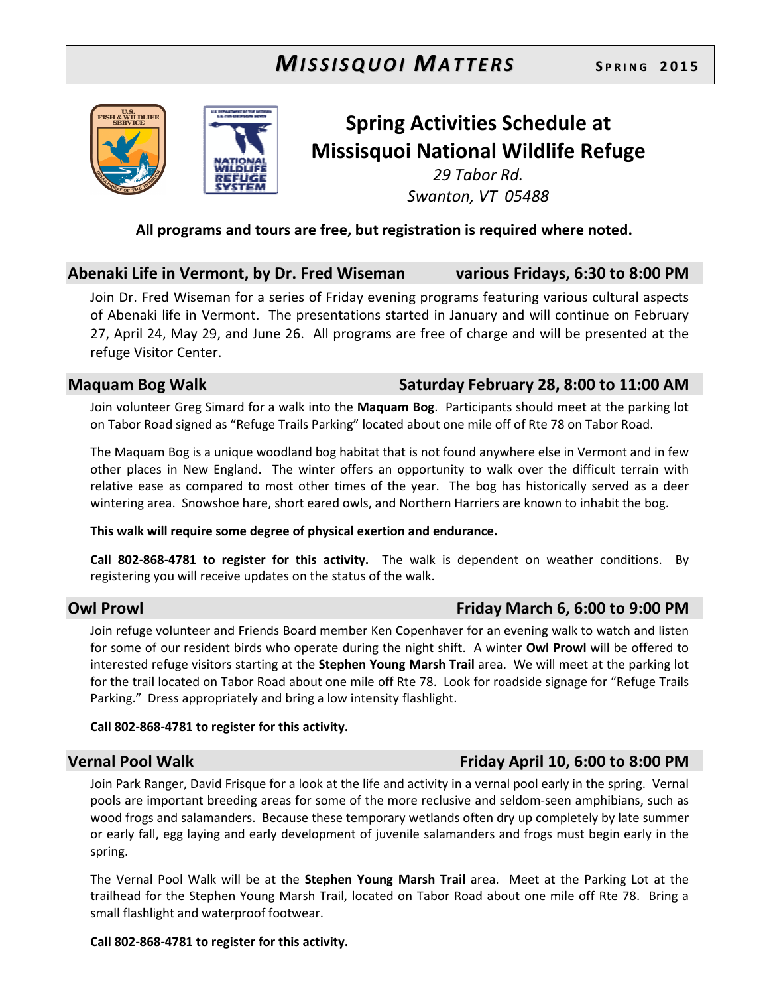



## **Spring Activities Schedule at Missisquoi National Wildlife Refuge**

*29 Tabor Rd. Swanton, VT 05488* 

### **All programs and tours are free, but registration is required where noted.**

### **Abenaki Life in Vermont, by Dr. Fred Wiseman various Fridays, 6:30 to 8:00 PM**

Join Dr. Fred Wiseman for a series of Friday evening programs featuring various cultural aspects of Abenaki life in Vermont. The presentations started in January and will continue on February 27, April 24, May 29, and June 26. All programs are free of charge and will be presented at the refuge Visitor Center.

### Maquam Bog Walk **Saturday February 28, 8:00 to 11:00 AM**

Join volunteer Greg Simard for a walk into the **Maquam Bog**. Participants should meet at the parking lot on Tabor Road signed as "Refuge Trails Parking" located about one mile off of Rte 78 on Tabor Road.

The Maquam Bog is a unique woodland bog habitat that is not found anywhere else in Vermont and in few other places in New England. The winter offers an opportunity to walk over the difficult terrain with relative ease as compared to most other times of the year. The bog has historically served as a deer wintering area. Snowshoe hare, short eared owls, and Northern Harriers are known to inhabit the bog.

#### **This walk will require some degree of physical exertion and endurance.**

**Call 802-868-4781 to register for this activity.** The walk is dependent on weather conditions. By registering you will receive updates on the status of the walk.

### **Owl Prowl Friday March 6, 6:00 to 9:00 PM**

Join refuge volunteer and Friends Board member Ken Copenhaver for an evening walk to watch and listen for some of our resident birds who operate during the night shift. A winter **Owl Prowl** will be offered to interested refuge visitors starting at the **Stephen Young Marsh Trail** area. We will meet at the parking lot for the trail located on Tabor Road about one mile off Rte 78. Look for roadside signage for "Refuge Trails Parking." Dress appropriately and bring a low intensity flashlight.

#### **Call 802-868-4781 to register for this activity.**

### **Vernal Pool Walk Friday April 10, 6:00 to 8:00 PM**

Join Park Ranger, David Frisque for a look at the life and activity in a vernal pool early in the spring. Vernal pools are important breeding areas for some of the more reclusive and seldom-seen amphibians, such as wood frogs and salamanders. Because these temporary wetlands often dry up completely by late summer or early fall, egg laying and early development of juvenile salamanders and frogs must begin early in the spring.

The Vernal Pool Walk will be at the **Stephen Young Marsh Trail** area. Meet at the Parking Lot at the trailhead for the Stephen Young Marsh Trail, located on Tabor Road about one mile off Rte 78. Bring a small flashlight and waterproof footwear.

#### **Call 802-868-4781 to register for this activity.**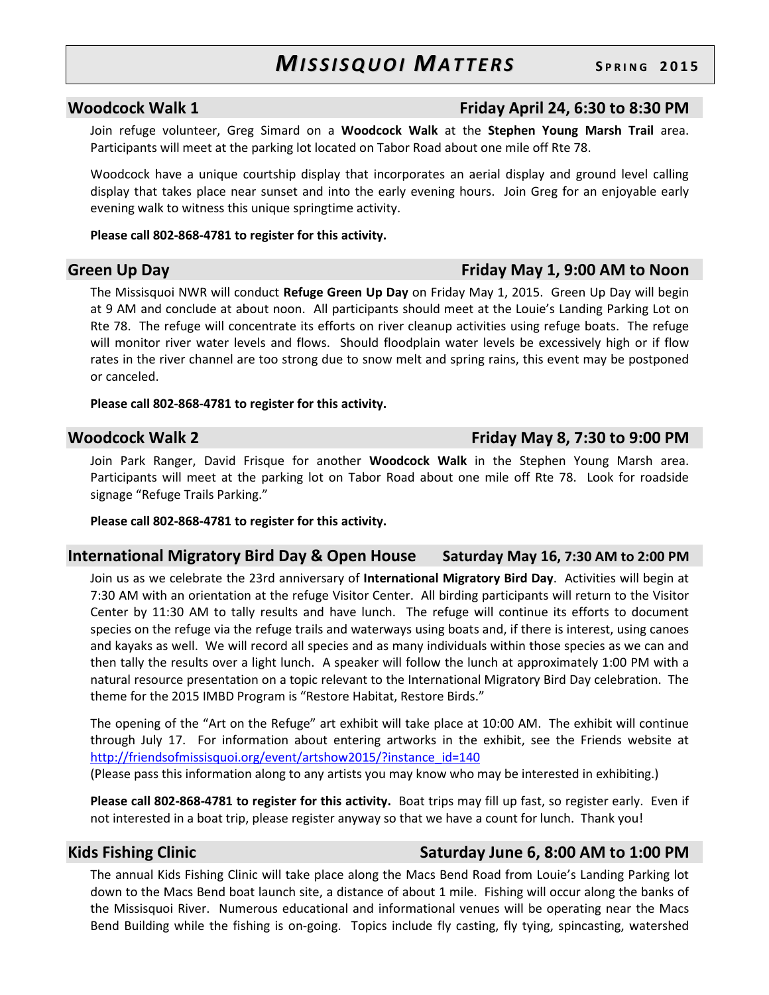### **Woodcock Walk 1 Friday April 24, 6:30 to 8:30 PM**

Join refuge volunteer, Greg Simard on a **Woodcock Walk** at the **Stephen Young Marsh Trail** area. Participants will meet at the parking lot located on Tabor Road about one mile off Rte 78.

Woodcock have a unique courtship display that incorporates an aerial display and ground level calling display that takes place near sunset and into the early evening hours. Join Greg for an enjoyable early evening walk to witness this unique springtime activity.

#### **Please call 802-868-4781 to register for this activity.**

The Missisquoi NWR will conduct **Refuge Green Up Day** on Friday May 1, 2015. Green Up Day will begin at 9 AM and conclude at about noon. All participants should meet at the Louie's Landing Parking Lot on Rte 78. The refuge will concentrate its efforts on river cleanup activities using refuge boats. The refuge will monitor river water levels and flows. Should floodplain water levels be excessively high or if flow rates in the river channel are too strong due to snow melt and spring rains, this event may be postponed or canceled.

#### **Please call 802-868-4781 to register for this activity.**

Join Park Ranger, David Frisque for another **Woodcock Walk** in the Stephen Young Marsh area. Participants will meet at the parking lot on Tabor Road about one mile off Rte 78. Look for roadside signage "Refuge Trails Parking."

#### **Please call 802-868-4781 to register for this activity.**

#### **International Migratory Bird Day & Open House Saturday May 16, 7:30 AM to 2:00 PM**

Join us as we celebrate the 23rd anniversary of **International Migratory Bird Day**. Activities will begin at 7:30 AM with an orientation at the refuge Visitor Center. All birding participants will return to the Visitor Center by 11:30 AM to tally results and have lunch. The refuge will continue its efforts to document species on the refuge via the refuge trails and waterways using boats and, if there is interest, using canoes and kayaks as well. We will record all species and as many individuals within those species as we can and then tally the results over a light lunch. A speaker will follow the lunch at approximately 1:00 PM with a natural resource presentation on a topic relevant to the International Migratory Bird Day celebration. The theme for the 2015 IMBD Program is "Restore Habitat, Restore Birds."

The opening of the "Art on the Refuge" art exhibit will take place at 10:00 AM. The exhibit will continue through July 17. For information about entering artworks in the exhibit, see the Friends website at http://friendsofmissisquoi.org/event/artshow2015/?instance\_id=140 (Please pass this information along to any artists you may know who may be interested in exhibiting.)

**Please call 802-868-4781 to register for this activity.** Boat trips may fill up fast, so register early. Even if not interested in a boat trip, please register anyway so that we have a count for lunch. Thank you!

### Kids Fishing Clinic **Saturday June 6, 8:00 AM to 1:00 PM**

The annual Kids Fishing Clinic will take place along the Macs Bend Road from Louie's Landing Parking lot down to the Macs Bend boat launch site, a distance of about 1 mile. Fishing will occur along the banks of the Missisquoi River. Numerous educational and informational venues will be operating near the Macs Bend Building while the fishing is on-going. Topics include fly casting, fly tying, spincasting, watershed

### **Green Up Day Friday May 1, 9:00 AM to Noon**

### **Woodcock Walk 2 Friday May 8, 7:30 to 9:00 PM**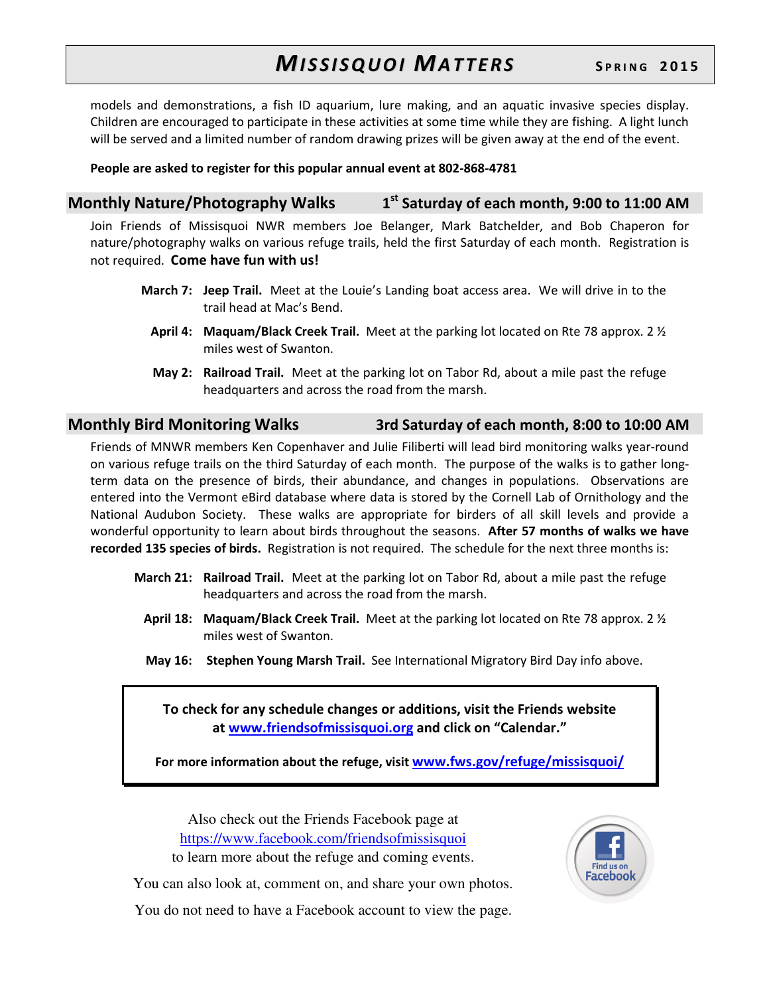models and demonstrations, a fish ID aquarium, lure making, and an aquatic invasive species display. Children are encouraged to participate in these activities at some time while they are fishing. A light lunch will be served and a limited number of random drawing prizes will be given away at the end of the event.

#### **People are asked to register for this popular annual event at 802-868-4781**

| <b>Monthly Nature/Photography Walks</b> | 1 <sup>st</sup> Saturday of each month, 9:00 to 11:00 AM |
|-----------------------------------------|----------------------------------------------------------|
|-----------------------------------------|----------------------------------------------------------|

Join Friends of Missisquoi NWR members Joe Belanger, Mark Batchelder, and Bob Chaperon for nature/photography walks on various refuge trails, held the first Saturday of each month. Registration is not required. **Come have fun with us!**

- **March 7: Jeep Trail.** Meet at the Louie's Landing boat access area. We will drive in to the trail head at Mac's Bend.
	- **April 4: Maquam/Black Creek Trail.** Meet at the parking lot located on Rte 78 approx. 2 ½ miles west of Swanton.
	- **May 2: Railroad Trail.** Meet at the parking lot on Tabor Rd, about a mile past the refuge headquarters and across the road from the marsh.

### **Monthly Bird Monitoring Walks 3rd Saturday of each month, 8:00 to 10:00 AM**

Friends of MNWR members Ken Copenhaver and Julie Filiberti will lead bird monitoring walks year-round on various refuge trails on the third Saturday of each month. The purpose of the walks is to gather longterm data on the presence of birds, their abundance, and changes in populations. Observations are entered into the Vermont eBird database where data is stored by the Cornell Lab of Ornithology and the National Audubon Society. These walks are appropriate for birders of all skill levels and provide a wonderful opportunity to learn about birds throughout the seasons. **After 57 months of walks we have recorded 135 species of birds.** Registration is not required. The schedule for the next three months is:

- **March 21: Railroad Trail.** Meet at the parking lot on Tabor Rd, about a mile past the refuge headquarters and across the road from the marsh.
	- **April 18: Maquam/Black Creek Trail.** Meet at the parking lot located on Rte 78 approx. 2 ½ miles west of Swanton.
	- **May 16: Stephen Young Marsh Trail.** See International Migratory Bird Day info above.

**To check for any schedule changes or additions, visit the Friends website at www.friendsofmissisquoi.org and click on "Calendar."** 

**For more information about the refuge, visit www.fws.gov/refuge/missisquoi/**

Also check out the Friends Facebook page at https://www.facebook.com/friendsofmissisquoi to learn more about the refuge and coming events.



You can also look at, comment on, and share your own photos.

You do not need to have a Facebook account to view the page.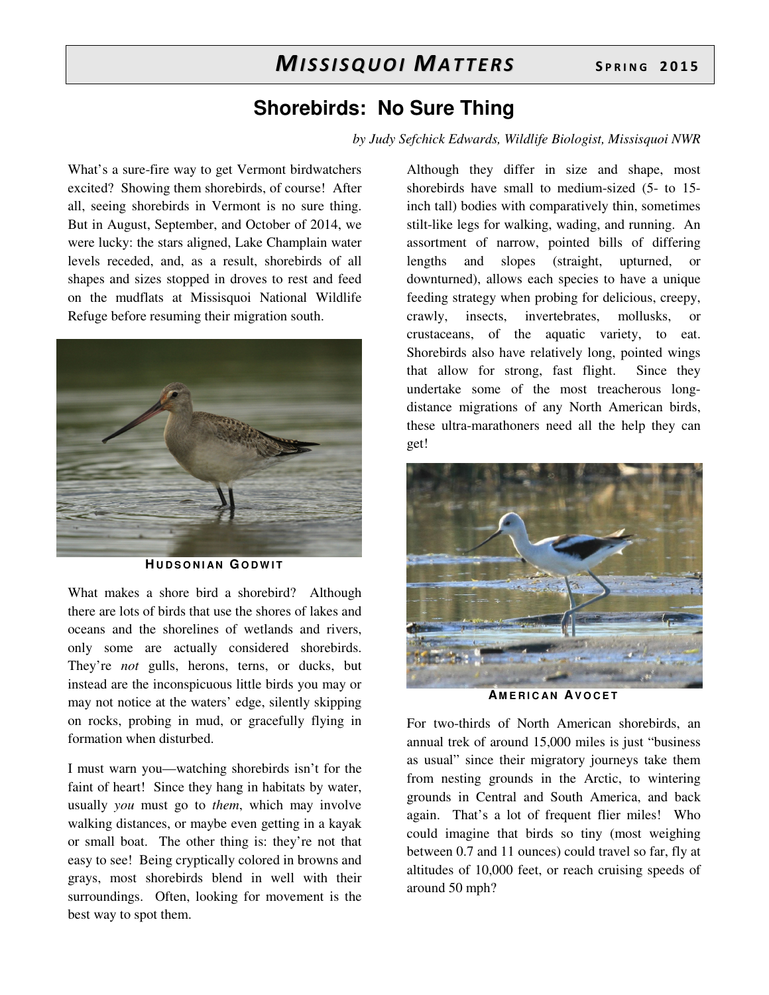### **Shorebirds: No Sure Thing**

*by Judy Sefchick Edwards, Wildlife Biologist, Missisquoi NWR* 

What's a sure-fire way to get Vermont birdwatchers excited? Showing them shorebirds, of course! After all, seeing shorebirds in Vermont is no sure thing. But in August, September, and October of 2014, we were lucky: the stars aligned, Lake Champlain water levels receded, and, as a result, shorebirds of all shapes and sizes stopped in droves to rest and feed on the mudflats at Missisquoi National Wildlife Refuge before resuming their migration south.



**HUDSONIAN GODWIT** 

What makes a shore bird a shorebird? Although there are lots of birds that use the shores of lakes and oceans and the shorelines of wetlands and rivers, only some are actually considered shorebirds. They're *not* gulls, herons, terns, or ducks, but instead are the inconspicuous little birds you may or may not notice at the waters' edge, silently skipping on rocks, probing in mud, or gracefully flying in formation when disturbed.

I must warn you—watching shorebirds isn't for the faint of heart! Since they hang in habitats by water, usually *you* must go to *them*, which may involve walking distances, or maybe even getting in a kayak or small boat. The other thing is: they're not that easy to see! Being cryptically colored in browns and grays, most shorebirds blend in well with their surroundings. Often, looking for movement is the best way to spot them.

Although they differ in size and shape, most shorebirds have small to medium-sized (5- to 15 inch tall) bodies with comparatively thin, sometimes stilt-like legs for walking, wading, and running. An assortment of narrow, pointed bills of differing lengths and slopes (straight, upturned, or downturned), allows each species to have a unique feeding strategy when probing for delicious, creepy, crawly, insects, invertebrates, mollusks, or crustaceans, of the aquatic variety, to eat. Shorebirds also have relatively long, pointed wings that allow for strong, fast flight. Since they undertake some of the most treacherous longdistance migrations of any North American birds, these ultra-marathoners need all the help they can get!



**A M E R I C A N AV O C E T**

For two-thirds of North American shorebirds, an annual trek of around 15,000 miles is just "business as usual" since their migratory journeys take them from nesting grounds in the Arctic, to wintering grounds in Central and South America, and back again. That's a lot of frequent flier miles! Who could imagine that birds so tiny (most weighing between 0.7 and 11 ounces) could travel so far, fly at altitudes of 10,000 feet, or reach cruising speeds of around 50 mph?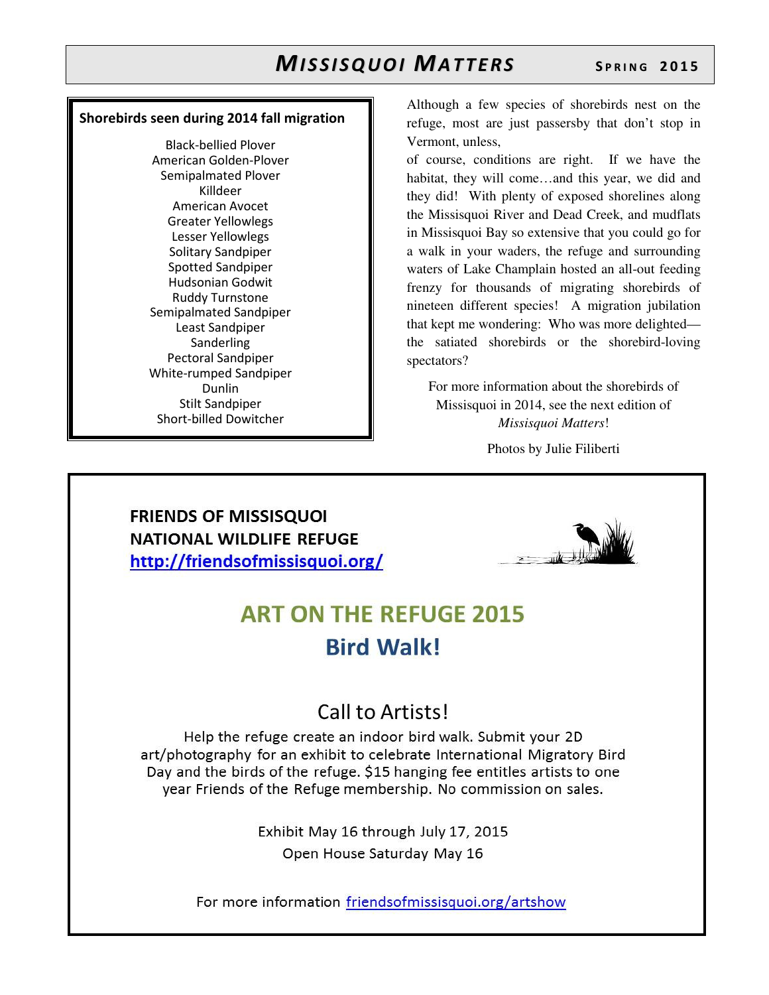#### **Shorebirds seen during 2014 fall migration**

Black-bellied Plover American Golden-Plover Semipalmated Plover Killdeer American Avocet Greater Yellowlegs Lesser Yellowlegs Solitary Sandpiper Spotted Sandpiper Hudsonian Godwit Ruddy Turnstone Semipalmated Sandpiper Least Sandpiper Sanderling Pectoral Sandpiper White-rumped Sandpiper Dunlin Stilt Sandpiper Short-billed Dowitcher

Although a few species of shorebirds nest on the refuge, most are just passersby that don't stop in Vermont, unless,

of course, conditions are right. If we have the habitat, they will come…and this year, we did and they did! With plenty of exposed shorelines along the Missisquoi River and Dead Creek, and mudflats in Missisquoi Bay so extensive that you could go for a walk in your waders, the refuge and surrounding waters of Lake Champlain hosted an all-out feeding frenzy for thousands of migrating shorebirds of nineteen different species! A migration jubilation that kept me wondering: Who was more delighted the satiated shorebirds or the shorebird-loving spectators?

For more information about the shorebirds of Missisquoi in 2014, see the next edition of *Missisquoi Matters*!

Photos by Julie Filiberti

### **FRIENDS OF MISSISQUOI NATIONAL WILDLIFE REFUGE** http://friendsofmissisquoi.org/



## **ART ON THE REFUGE 2015 Bird Walk!**

### Call to Artists!

Help the refuge create an indoor bird walk. Submit your 2D art/photography for an exhibit to celebrate International Migratory Bird Day and the birds of the refuge. \$15 hanging fee entitles artists to one year Friends of the Refuge membership. No commission on sales.

> Exhibit May 16 through July 17, 2015 Open House Saturday May 16

For more information friendsofmissisquoi.org/artshow